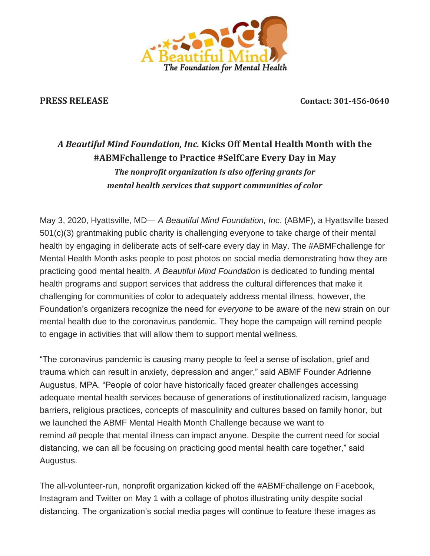

**PRESS RELEASE Contact: 301-456-0640**

# *A Beautiful Mind Foundation, Inc.* **Kicks Off Mental Health Month with the #ABMFchallenge to Practice #SelfCare Every Day in May** *The nonprofit organization is also offering grants for mental health services that support communities of color*

May 3, 2020, Hyattsville, MD— *A Beautiful Mind Foundation, Inc*. (ABMF), a Hyattsville based 501(c)(3) grantmaking public charity is challenging everyone to take charge of their mental health by engaging in deliberate acts of self-care every day in May. The #ABMFchallenge for Mental Health Month asks people to post photos on social media demonstrating how they are practicing good mental health. *A Beautiful Mind Foundation* is dedicated to funding mental health programs and support services that address the cultural differences that make it challenging for communities of color to adequately address mental illness, however, the Foundation's organizers recognize the need for *everyone* to be aware of the new strain on our mental health due to the coronavirus pandemic. They hope the campaign will remind people to engage in activities that will allow them to support mental wellness.

"The coronavirus pandemic is causing many people to feel a sense of isolation, grief and trauma which can result in anxiety, depression and anger," said ABMF Founder Adrienne Augustus, MPA. "People of color have historically faced greater challenges accessing adequate mental health services because of generations of institutionalized racism, language barriers, religious practices, concepts of masculinity and cultures based on family honor, but we launched the ABMF Mental Health Month Challenge because we want to remind *all* people that mental illness can impact anyone. Despite the current need for social distancing, we can all be focusing on practicing good mental health care together," said Augustus.

The all-volunteer-run, nonprofit organization kicked off the #ABMFchallenge on Facebook, Instagram and Twitter on May 1 with a collage of photos illustrating unity despite social distancing. The organization's social media pages will continue to feature these images as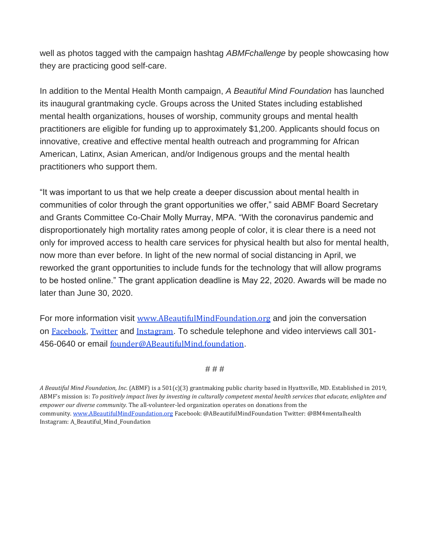well as photos tagged with the campaign hashtag *ABMFchallenge* by people showcasing how they are practicing good self-care.

In addition to the Mental Health Month campaign, *A Beautiful Mind Foundation* has launched its inaugural grantmaking cycle. Groups across the United States including established mental health organizations, houses of worship, community groups and mental health practitioners are eligible for funding up to approximately \$1,200. Applicants should focus on innovative, creative and effective mental health outreach and programming for African American, Latinx, Asian American, and/or Indigenous groups and the mental health practitioners who support them.

"It was important to us that we help create a deeper discussion about mental health in communities of color through the grant opportunities we offer," said ABMF Board Secretary and Grants Committee Co-Chair Molly Murray, MPA. "With the coronavirus pandemic and disproportionately high mortality rates among people of color, it is clear there is a need not only for improved access to health care services for physical health but also for mental health, now more than ever before. In light of the new normal of social distancing in April, we reworked the grant opportunities to include funds for the technology that will allow programs to be hosted online." The grant application deadline is May 22, 2020. Awards will be made no later than June 30, 2020.

For more information visit [www.ABeautifulMindFoundation.org](https://abeautifulmindfoundation.us4.list-manage.com/track/click?u=2e3926ac331a51730d4d0bce3&id=cbb78dfc9c&e=5b52ca762e) and join the conversation on [Facebook](https://abeautifulmindfoundation.us4.list-manage.com/track/click?u=2e3926ac331a51730d4d0bce3&id=9854746e2f&e=5b52ca762e), [Twitter](https://abeautifulmindfoundation.us4.list-manage.com/track/click?u=2e3926ac331a51730d4d0bce3&id=77ecebcb92&e=5b52ca762e) and [Instagram](https://abeautifulmindfoundation.us4.list-manage.com/track/click?u=2e3926ac331a51730d4d0bce3&id=abbba31a04&e=5b52ca762e). To schedule telephone and video interviews call 301 456-0640 or email [founder@ABeautifulMind.foundation](mailto:founder@ABeautifulMind.foundation).

# # #

*A Beautiful Mind Foundation, Inc.* (ABMF) is a 501(c)(3) grantmaking public charity based in Hyattsville, MD. Established in 2019, ABMF's mission is: To positively impact lives by investing in culturally competent mental health services that educate, enlighten and *empower our diverse community.* The all-volunteer-led organization operates on donations from the community. [www.ABeautifulMindFoundation.org](https://abeautifulmindfoundation.us4.list-manage.com/track/click?u=2e3926ac331a51730d4d0bce3&id=3d0fa62f98&e=5b52ca762e) Facebook: @ABeautifulMindFoundation Twitter: @BM4mentalhealth Instagram: A\_Beautiful\_Mind\_Foundation